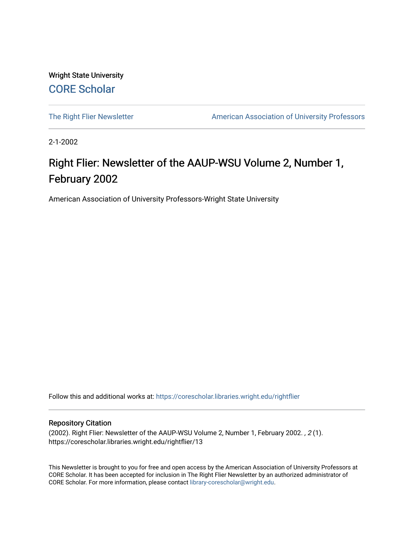Wright State University [CORE Scholar](https://corescholar.libraries.wright.edu/)

[The Right Flier Newsletter](https://corescholar.libraries.wright.edu/rightflier) **American Association of University Professors** 

2-1-2002

# Right Flier: Newsletter of the AAUP-WSU Volume 2, Number 1, February 2002

American Association of University Professors-Wright State University

Follow this and additional works at: [https://corescholar.libraries.wright.edu/rightflier](https://corescholar.libraries.wright.edu/rightflier?utm_source=corescholar.libraries.wright.edu%2Frightflier%2F13&utm_medium=PDF&utm_campaign=PDFCoverPages) 

#### Repository Citation

(2002). Right Flier: Newsletter of the AAUP-WSU Volume 2, Number 1, February 2002. , 2 (1). https://corescholar.libraries.wright.edu/rightflier/13

This Newsletter is brought to you for free and open access by the American Association of University Professors at CORE Scholar. It has been accepted for inclusion in The Right Flier Newsletter by an authorized administrator of CORE Scholar. For more information, please contact [library-corescholar@wright.edu](mailto:library-corescholar@wright.edu).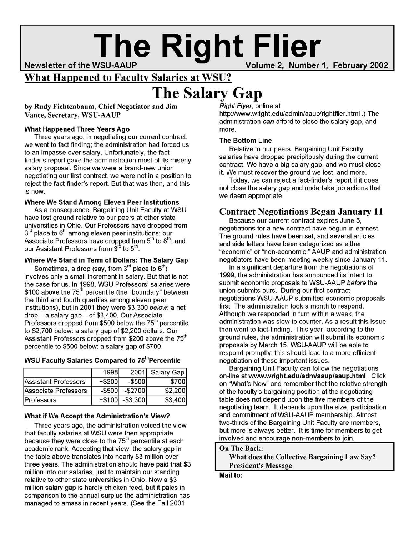# **The Right Flier**

Newsletter of the WSU-AAUP

2, Number 1, February 2002

### What Happened to Faculty Salaries at WSU?

# **The Salary Gap**

by Rudy Fichtenbaum, Chief Negotiator and Jim Vance, Secretary, WSU-AAUP

#### What Happened Three Years Ago

Three years ago, in negotiating our current contract, we went to fact finding; the administration had forced us to an impasse over salary. Unfortunately, the fact finder's report gave the administration most of its miserly salary proposal. Since we were a brand-new union negotiating our first contract, we were not in a position to reject the fact-finder's report. But that was then, and this is now.

#### Where We Stand Among Eleven Peer Institutions

As a consequence, Bargaining Unit Faculty at WSU have lost ground relative to our peers at other state universities in Ohio. Our Professors have dropped from  $3<sup>rd</sup>$  place to  $6<sup>th</sup>$  among eleven peer institutions; our Associate Professors have dropped from 5<sup>th</sup> to 8<sup>th</sup>; and our Assistant Professors from 3<sup>rd</sup> to 5<sup>th</sup>.

#### Where We Stand in Term of Dollars: The Salary Gap

Sometimes, a drop (say, from 3 $^{\text{rd}}$  place to  $6^{\text{th}}$ ) involves only a small increment in salary. But that is not the case for us. In 1998, WSU Professors' salaries were \$100 above the  $75<sup>th</sup>$  percentile (the "boundary" between the third and fourth quartiles among eleven peer institutions), but in 2001 they were \$3,300 below: a net drop - a salary gap - of \$3,400. Our Associate Professors dropped from \$500 below the  $75<sup>th</sup>$  percentile to \$2,700 below: a salary gap of \$2,200 dollars. Our Assistant Professors dropped from \$200 above the 75<sup>th</sup> percentile to \$500 below: a salary gap of \$700.

#### WSU Faculty Salaries Compared to 75<sup>th</sup> Percentile

|                             | 1998      |                  | 2001 Salary Gap |
|-----------------------------|-----------|------------------|-----------------|
| <b>Assistant Professors</b> | $+$ \$200 | $-$ \$500        | \$700           |
| Associate Professors        | $-$ \$500 | $-$ \$2700       | \$2,200         |
| Professors                  |           | $+$100$ -\$3,300 | \$3,400         |

#### What if We Accept the Administration's View?

Three years ago, the administration voiced the view that faculty salaries at WSU were then appropriate because they were close to the 75<sup>th</sup> percentile at each academic rank. Accepting that view, the salary gap in the table above translates into nearly \$3 million over three years. The administration should have paid that \$3 million into our salaries, just to maintain our standing relative to other state universities in Ohio. Now a \$3 million salary gap is hardly chicken feed, but it pales in comparison to the annual surplus the administration has managed to amass in recent years. (See the Fall 2001

#### Right Flyer, online at

http://www.wright.edu/admin/aaup/rightflier.html.) The administration *can* afford to close the salary gap, and more.

#### The Bottom Line

Relative to our peers, Bargaining Unit Faculty salaries have dropped precipitously during the current contract. We have a big salary gap, and we must close it. We must recover the ground we lost, and more.

Today, we can reject a fact-finder's report if it does not close the salary gap and undertake job actions that we deem appropriate.

#### Contract Negotiations Began January 11

Because our current contract expires June 5, negotiations for a new contract have begun in earnest. The ground rules have been set, and several articles and side letters have been categorized as either "economic" or "non-economic." AAUP and administration negotiators have been meeting weekly since January 11.

In a significant departure from the negotiations of 1999, the administration has announced its intent to submit economic proposals to WSU-AAUP before the union submits ours. During our first contract negotiations WSU-AAUP submitted economic proposals first. The administration took a month to respond. Although we responded in turn within a week, the administration was slow to counter. As a result this issue then went to fact-finding. This year, according to the ground rules, the administration will submit its economic proposals by March 15. WSU-AAUP will be able to respond promptly; this should lead to a more efficient negotiation of these important issues.

Bargaining Unit Faculty can follow the negotiations on-line at www.wright.edu/adm/aaup/aaup.html. Click on "What's New" and remember that the relative strength of the faculty's bargaining position at the negotiating table does not depend upon the five members of the negotiating team. It depends upon the size, participation and commitment of WSU-AAUP membership. Almost two-thirds of the Bargaining Unit Faculty are members, but more is always better. It is time for members to get involved and encourage non-members to join.

#### On The Back:

What does the Collective Bargaining Law Say? President's Message

Mail to: